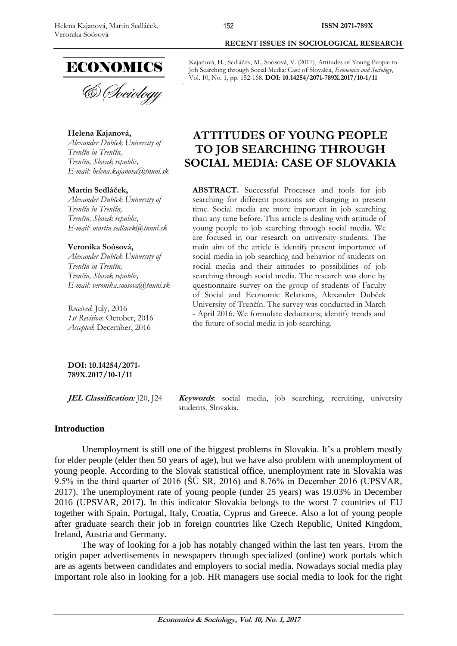

# **Helena Kajanová,**

*Alexander Dubček University of Trenčín in Trenčín, Trenčín, Slovak republic, E-mail: [helena.kajanova@tnuni.sk](mailto:helena.kajanova@tnuni.sk)*

#### **Martin Sedláček,**

*Alexander Dubček University of Trenčín in Trenčín, Trenčín, Slovak republic, E-mail: [martin.sedlacek@tnuni.sk](mailto:martin.sedlacek@tnuni.sk)*

#### **Veronika Soósová,**

*Alexander Dubček University of Trenčín in Trenčín, Trenčín, Slovak republic, E-mail: [veronika.soosova@tnuni.sk](mailto:veronika.soosova@tnuni.sk)*

*Received*: July, 2016 *1st Revision*: October, 2016 *Accepted*: December, 2016

#### **DOI: 10.14254/2071- 789X.2017/10-1/11**

**JEL Classification***:* J20, J24 **Keywords**: social media, job searching, recruiting, university students, Slovakia.

# **Introduction**

Unemployment is still one of the biggest problems in Slovakia. It's a problem mostly for elder people (elder then 50 years of age), but we have also problem with unemployment of young people. According to the Slovak statistical office, unemployment rate in Slovakia was 9.5% in the third quarter of 2016 (ŠÚ SR, 2016) and 8.76% in December 2016 (UPSVAR, 2017). The unemployment rate of young people (under 25 years) was 19.03% in December 2016 (UPSVAR, 2017). In this indicator Slovakia belongs to the worst 7 countries of EU together with Spain, Portugal, Italy, Croatia, Cyprus and Greece. Also a lot of young people after graduate search their job in foreign countries like Czech Republic, United Kingdom, Ireland, Austria and Germany.

The way of looking for a job has notably changed within the last ten years. From the origin paper advertisements in newspapers through specialized (online) work portals which are as agents between candidates and employers to social media. Nowadays social media play important role also in looking for a job. HR managers use social media to look for the right

Kajanová, H., Sedláček, M., Soósová, V. (2017), Attitudes of Young People to Job Searching through Social Media: Case of Slovakia, *Economics and Sociology*, Vol. 10, No. 1, pp. 152-168. **DOI: 10.14254/2071-789X.2017/10-1/11**

**RECENT ISSUES IN SOCIOLOGICAL RESEARCH**

# **ATTITUDES OF YOUNG PEOPLE TO JOB SEARCHING THROUGH SOCIAL MEDIA: CASE OF SLOVAKIA**

**ABSTRACT.** Successful Processes and tools for job searching for different positions are changing in present time. Social media are more important in job searching than any time before. This article is dealing with attitude of young people to job searching through social media. We are focused in our research on university students. The main aim of the article is identify present importance of social media in job searching and behavior of students on social media and their attitudes to possibilities of job searching through social media. The research was done by questionnaire survey on the group of students of Faculty of Social and Economic Relations, Alexander Dubček University of Trenčín. The survey was conducted in March - April 2016. We formulate deductions; identify trends and the future of social media in job searching.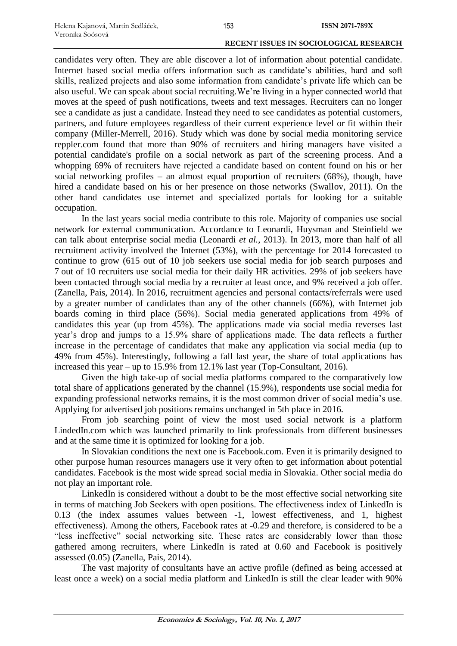candidates very often. They are able discover a lot of information about potential candidate. Internet based social media offers information such as candidate's abilities, hard and soft skills, realized projects and also some information from candidate's private life which can be also useful. We can speak about social recruiting.We're living in a hyper connected world that moves at the speed of push notifications, tweets and text messages. Recruiters can no longer see a candidate as just a candidate. Instead they need to see candidates as potential customers, partners, and future employees regardless of their current experience level or fit within their company (Miller-Merrell, 2016). Study which was done by social media monitoring service reppler.com found that more than 90% of recruiters and hiring managers have visited a potential candidate's profile on a social network as part of the screening process. And a whopping 69% of recruiters have rejected a candidate based on content found on his or her social networking profiles – an almost equal proportion of recruiters (68%), though, have hired a candidate based on his or her presence on those networks (Swallov, 2011). On the other hand candidates use internet and specialized portals for looking for a suitable occupation.

In the last years social media contribute to this role. Majority of companies use social network for external communication. Accordance to Leonardi, Huysman and Steinfield we can talk about enterprise social media (Leonardi *et al.*, 2013). In 2013, more than half of all recruitment activity involved the Internet (53%), with the percentage for 2014 forecasted to continue to grow (615 out of 10 job seekers use social media for job search purposes and 7 out of 10 recruiters use social media for their daily HR activities. 29% of job seekers have been contacted through social media by a recruiter at least once, and 9% received a job offer. (Zanella, Pais, 2014). In 2016, recruitment agencies and personal contacts/referrals were used by a greater number of candidates than any of the other channels (66%), with Internet job boards coming in third place (56%). Social media generated applications from 49% of candidates this year (up from 45%). The applications made via social media reverses last year's drop and jumps to a 15.9% share of applications made. The data reflects a further increase in the percentage of candidates that make any application via social media (up to 49% from 45%). Interestingly, following a fall last year, the share of total applications has increased this year – up to 15.9% from 12.1% last year (Top-Consultant, 2016).

Given the high take-up of social media platforms compared to the comparatively low total share of applications generated by the channel (15.9%), respondents use social media for expanding professional networks remains, it is the most common driver of social media's use. Applying for advertised job positions remains unchanged in 5th place in 2016.

From job searching point of view the most used social network is a platform LindedIn.com which was launched primarily to link professionals from different businesses and at the same time it is optimized for looking for a job.

In Slovakian conditions the next one is Facebook.com. Even it is primarily designed to other purpose human resources managers use it very often to get information about potential candidates. Facebook is the most wide spread social media in Slovakia. Other social media do not play an important role.

LinkedIn is considered without a doubt to be the most effective social networking site in terms of matching Job Seekers with open positions. The effectiveness index of LinkedIn is 0.13 (the index assumes values between -1, lowest effectiveness, and 1, highest effectiveness). Among the others, Facebook rates at -0.29 and therefore, is considered to be a "less ineffective" social networking site. These rates are considerably lower than those gathered among recruiters, where LinkedIn is rated at 0.60 and Facebook is positively assessed (0.05) (Zanella, Pais, 2014).

The vast majority of consultants have an active profile (defined as being accessed at least once a week) on a social media platform and LinkedIn is still the clear leader with 90%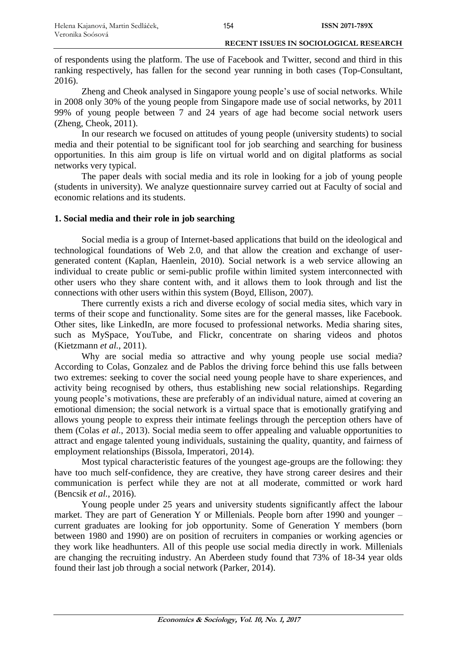of respondents using the platform. The use of Facebook and Twitter, second and third in this ranking respectively, has fallen for the second year running in both cases (Top-Consultant, 2016).

Zheng and Cheok analysed in Singapore young people's use of social networks. While in 2008 only 30% of the young people from Singapore made use of social networks, by 2011 99% of young people between 7 and 24 years of age had become social network users (Zheng, Cheok, 2011).

In our research we focused on attitudes of young people (university students) to social media and their potential to be significant tool for job searching and searching for business opportunities. In this aim group is life on virtual world and on digital platforms as social networks very typical.

The paper deals with social media and its role in looking for a job of young people (students in university). We analyze questionnaire survey carried out at Faculty of social and economic relations and its students.

# **1. Social media and their role in job searching**

Social media is a group of Internet-based applications that build on the ideological and technological foundations of Web 2.0, and that allow the creation and exchange of usergenerated content (Kaplan, Haenlein, 2010). Social network is a web service allowing an individual to create public or semi-public profile within limited system interconnected with other users who they share content with, and it allows them to look through and list the connections with other users within this system (Boyd, Ellison, 2007).

There currently exists a rich and diverse ecology of social media sites, which vary in terms of their scope and functionality. Some sites are for the general masses, like Facebook. Other sites, like LinkedIn, are more focused to professional networks. Media sharing sites, such as MySpace, YouTube, and Flickr, concentrate on sharing videos and photos (Kietzmann *et al.*, 2011).

Why are social media so attractive and why young people use social media? According to Colas, Gonzalez and de Pablos the driving force behind this use falls between two extremes: seeking to cover the social need young people have to share experiences, and activity being recognised by others, thus establishing new social relationships. Regarding young people's motivations, these are preferably of an individual nature, aimed at covering an emotional dimension; the social network is a virtual space that is emotionally gratifying and allows young people to express their intimate feelings through the perception others have of them (Colas *et al.*, 2013). Social media seem to offer appealing and valuable opportunities to attract and engage talented young individuals, sustaining the quality, quantity, and fairness of employment relationships (Bissola, Imperatori, 2014).

Most typical characteristic features of the youngest age-groups are the following: they have too much self-confidence, they are creative, they have strong career desires and their communication is perfect while they are not at all moderate, committed or work hard (Bencsik *et al.*, 2016).

Young people under 25 years and university students significantly affect the labour market. They are part of Generation Y or Millenials. People born after 1990 and younger – current graduates are looking for job opportunity. Some of Generation Y members (born between 1980 and 1990) are on position of recruiters in companies or working agencies or they work like headhunters. All of this people use social media directly in work. Millenials are changing the recruiting industry. An Aberdeen study found that 73% of 18-34 year olds found their last job through a social network (Parker, 2014).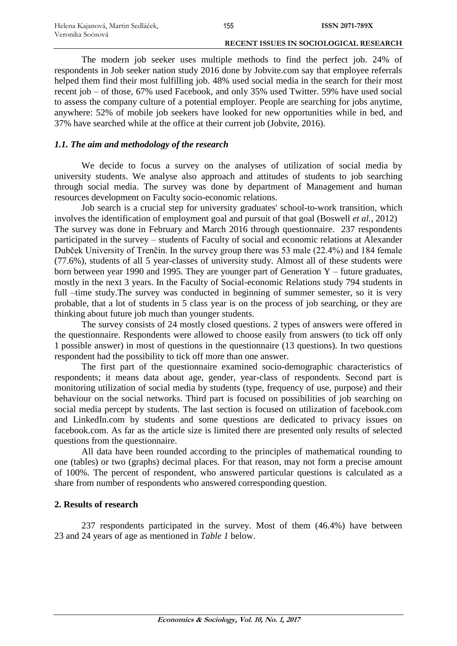155

#### **RECENT ISSUES IN SOCIOLOGICAL RESEARCH**

The modern job seeker uses multiple methods to find the perfect job. 24% of respondents in Job seeker nation study 2016 done by Jobvite.com say that employee referrals helped them find their most fulfilling job. 48% used social media in the search for their most recent job – of those, 67% used Facebook, and only 35% used Twitter. 59% have used social to assess the company culture of a potential employer. People are searching for jobs anytime, anywhere: 52% of mobile job seekers have looked for new opportunities while in bed, and 37% have searched while at the office at their current job (Jobvite, 2016).

# *1.1. The aim and methodology of the research*

We decide to focus a survey on the analyses of utilization of social media by university students. We analyse also approach and attitudes of students to job searching through social media. The survey was done by department of Management and human resources development on Faculty socio-economic relations.

Job search is a crucial step for university graduates' school-to-work transition, which involves the identification of employment goal and pursuit of that goal (Boswell *et al.*, 2012) The survey was done in February and March 2016 through questionnaire. 237 respondents participated in the survey – students of Faculty of social and economic relations at Alexander Dubček University of Trenčín. In the survey group there was 53 male (22.4%) and 184 female (77.6%), students of all 5 year-classes of university study. Almost all of these students were born between year 1990 and 1995. They are younger part of Generation Y – future graduates, mostly in the next 3 years. In the Faculty of Social-economic Relations study 794 students in full –time study. The survey was conducted in beginning of summer semester, so it is very probable, that a lot of students in 5 class year is on the process of job searching, or they are thinking about future job much than younger students.

The survey consists of 24 mostly closed questions. 2 types of answers were offered in the questionnaire. Respondents were allowed to choose easily from answers (to tick off only 1 possible answer) in most of questions in the questionnaire (13 questions). In two questions respondent had the possibility to tick off more than one answer.

The first part of the questionnaire examined socio-demographic characteristics of respondents; it means data about age, gender, year-class of respondents. Second part is monitoring utilization of social media by students (type, frequency of use, purpose) and their behaviour on the social networks. Third part is focused on possibilities of job searching on social media percept by students. The last section is focused on utilization of facebook.com and LinkedIn.com by students and some questions are dedicated to privacy issues on facebook.com. As far as the article size is limited there are presented only results of selected questions from the questionnaire.

All data have been rounded according to the principles of mathematical rounding to one (tables) or two (graphs) decimal places. For that reason, may not form a precise amount of 100%. The percent of respondent, who answered particular questions is calculated as a share from number of respondents who answered corresponding question.

# **2. Results of research**

237 respondents participated in the survey. Most of them (46.4%) have between 23 and 24 years of age as mentioned in *Table 1* below.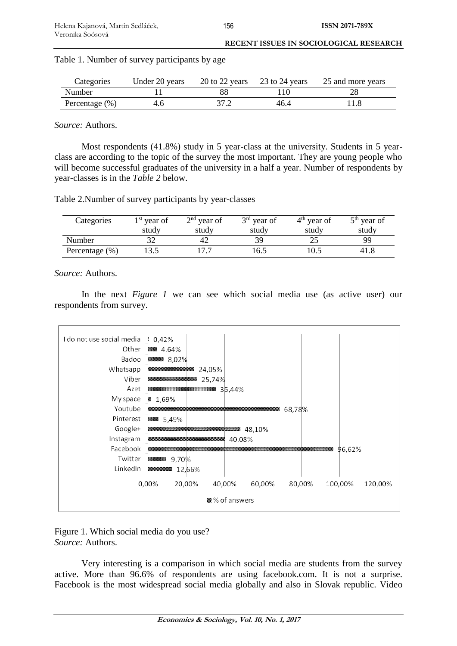| Categories         | Under 20 years |      | 20 to 22 years 23 to 24 years | 25 and more years |
|--------------------|----------------|------|-------------------------------|-------------------|
| Number             |                |      |                               |                   |
| Percentage $(\% )$ |                | 37.2 | 46.4                          |                   |

Table 1. Number of survey participants by age

*Source:* Authors.

Most respondents (41.8%) study in 5 year-class at the university. Students in 5 yearclass are according to the topic of the survey the most important. They are young people who will become successful graduates of the university in a half a year. Number of respondents by year-classes is in the *Table 2* below.

Table 2.Number of survey participants by year-classes

| Categories        | $1st$ year of | $2nd$ year of | $3rd$ year of | $4th$ year of | $5th$ year of |
|-------------------|---------------|---------------|---------------|---------------|---------------|
|                   | study         | study         | study         | study         | study         |
| Number            |               | $4'_{\ell}$   | 39            |               | QQ            |
| Percentage $(\%)$ |               |               | .6.5          |               | 41.8          |

*Source:* Authors.

In the next *Figure 1* we can see which social media use (as active user) our respondents from survey.



Figure 1. Which social media do you use? *Source:* Authors.

Very interesting is a comparison in which social media are students from the survey active. More than 96.6% of respondents are using facebook.com. It is not a surprise. Facebook is the most widespread social media globally and also in Slovak republic. Video

156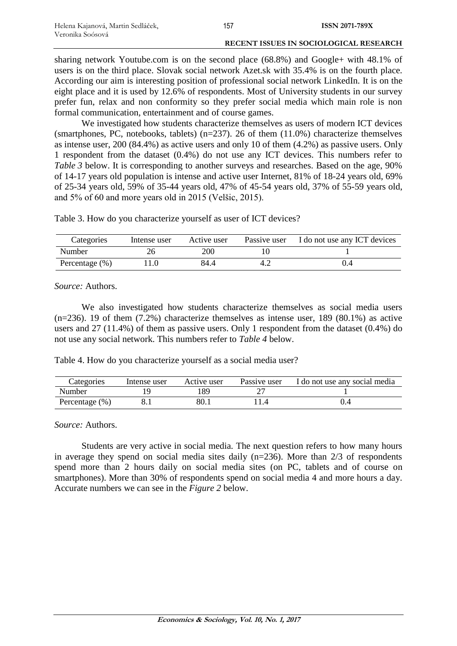sharing network Youtube.com is on the second place (68.8%) and Google+ with 48.1% of users is on the third place. Slovak social network Azet.sk with 35.4% is on the fourth place. According our aim is interesting position of professional social network LinkedIn. It is on the eight place and it is used by 12.6% of respondents. Most of University students in our survey prefer fun, relax and non conformity so they prefer social media which main role is non formal communication, entertainment and of course games.

We investigated how students characterize themselves as users of modern ICT devices (smartphones, PC, notebooks, tablets) ( $n=237$ ). 26 of them (11.0%) characterize themselves as intense user, 200 (84.4%) as active users and only 10 of them (4.2%) as passive users. Only 1 respondent from the dataset (0.4%) do not use any ICT devices. This numbers refer to *Table 3* below. It is corresponding to another surveys and researches. Based on the age, 90% of 14-17 years old population is intense and active user Internet, 81% of 18-24 years old, 69% of 25-34 years old, 59% of 35-44 years old, 47% of 45-54 years old, 37% of 55-59 years old, and 5% of 60 and more years old in 2015 (Velšic, 2015).

Table 3. How do you characterize yourself as user of ICT devices?

| Categories         | Intense user | Active user | Passive user | I do not use any ICT devices |
|--------------------|--------------|-------------|--------------|------------------------------|
| Number             |              | 200         |              |                              |
| Percentage $(\% )$ |              | 84.4        |              |                              |

*Source:* Authors.

We also investigated how students characterize themselves as social media users  $(n=236)$ . 19 of them  $(7.2\%)$  characterize themselves as intense user, 189 (80.1%) as active users and 27 (11.4%) of them as passive users. Only 1 respondent from the dataset (0.4%) do not use any social network. This numbers refer to *Table 4* below.

Table 4. How do you characterize yourself as a social media user?

| Categories         | Intense user | Active user | Passive user | I do not use any social media |
|--------------------|--------------|-------------|--------------|-------------------------------|
| Number             |              | .89         |              |                               |
| Percentage $(\% )$ |              | 80.1        |              |                               |

*Source:* Authors.

Students are very active in social media. The next question refers to how many hours in average they spend on social media sites daily  $(n=236)$ . More than 2/3 of respondents spend more than 2 hours daily on social media sites (on PC, tablets and of course on smartphones). More than 30% of respondents spend on social media 4 and more hours a day. Accurate numbers we can see in the *Figure 2* below.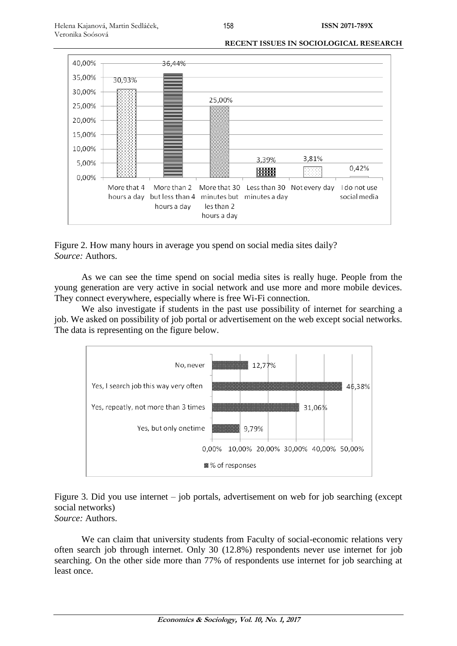

Figure 2. How many hours in average you spend on social media sites daily? *Source:* Authors.

As we can see the time spend on social media sites is really huge. People from the young generation are very active in social network and use more and more mobile devices. They connect everywhere, especially where is free Wi-Fi connection.

We also investigate if students in the past use possibility of internet for searching a job. We asked on possibility of job portal or advertisement on the web except social networks. The data is representing on the figure below.



Figure 3. Did you use internet – job portals, advertisement on web for job searching (except social networks)

*Source:* Authors.

We can claim that university students from Faculty of social-economic relations very often search job through internet. Only 30 (12.8%) respondents never use internet for job searching. On the other side more than 77% of respondents use internet for job searching at least once.

158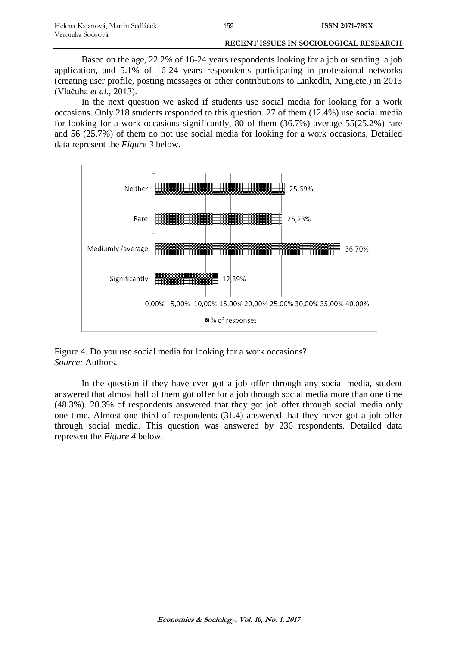Based on the age, 22.2% of 16-24 years respondents looking for a job or sending a job application, and 5.1% of 16-24 years respondents participating in professional networks (creating user profile, posting messages or other contributions to Linkedln, Xing,etc.) in 2013 (Vlačuha *et al.*, 2013).

159

In the next question we asked if students use social media for looking for a work occasions. Only 218 students responded to this question. 27 of them (12.4%) use social media for looking for a work occasions significantly, 80 of them (36.7%) average 55(25.2%) rare and 56 (25.7%) of them do not use social media for looking for a work occasions. Detailed data represent the *Figure 3* below.



Figure 4. Do you use social media for looking for a work occasions? *Source:* Authors.

In the question if they have ever got a job offer through any social media, student answered that almost half of them got offer for a job through social media more than one time (48.3%). 20.3% of respondents answered that they got job offer through social media only one time. Almost one third of respondents (31.4) answered that they never got a job offer through social media. This question was answered by 236 respondents. Detailed data represent the *Figure 4* below.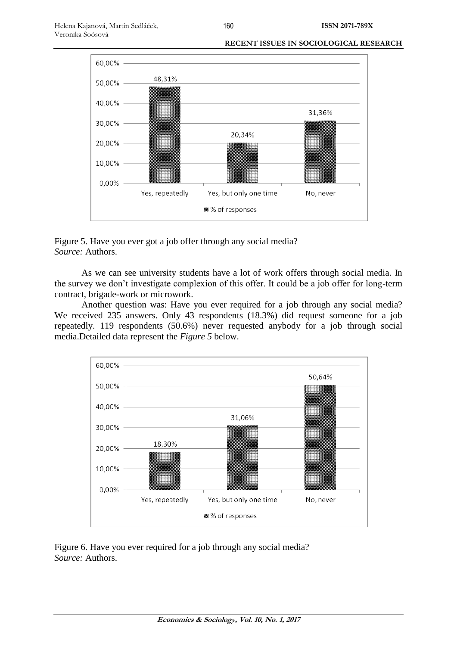

Figure 5. Have you ever got a job offer through any social media? *Source:* Authors.

As we can see university students have a lot of work offers through social media. In the survey we don't investigate complexion of this offer. It could be a job offer for long-term contract, brigade-work or microwork.

Another question was: Have you ever required for a job through any social media? We received 235 answers. Only 43 respondents (18.3%) did request someone for a job repeatedly. 119 respondents (50.6%) never requested anybody for a job through social media.Detailed data represent the *Figure 5* below.



Figure 6. Have you ever required for a job through any social media? *Source:* Authors.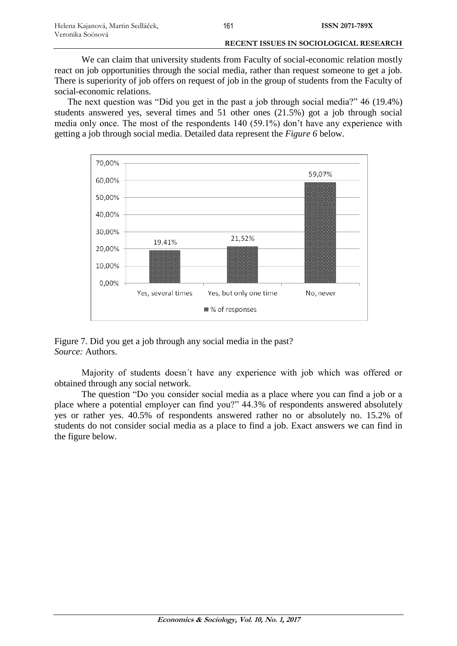We can claim that university students from Faculty of social-economic relation mostly react on job opportunities through the social media, rather than request someone to get a job. There is superiority of job offers on request of job in the group of students from the Faculty of social-economic relations.

The next question was "Did you get in the past a job through social media?" 46 (19.4%) students answered yes, several times and 51 other ones (21.5%) got a job through social media only once. The most of the respondents 140 (59.1%) don't have any experience with getting a job through social media. Detailed data represent the *Figure 6* below.



Figure 7. Did you get a job through any social media in the past? *Source:* Authors.

Majority of students doesn´t have any experience with job which was offered or obtained through any social network.

The question "Do you consider social media as a place where you can find a job or a place where a potential employer can find you?" 44.3% of respondents answered absolutely yes or rather yes. 40.5% of respondents answered rather no or absolutely no. 15.2% of students do not consider social media as a place to find a job. Exact answers we can find in the figure below.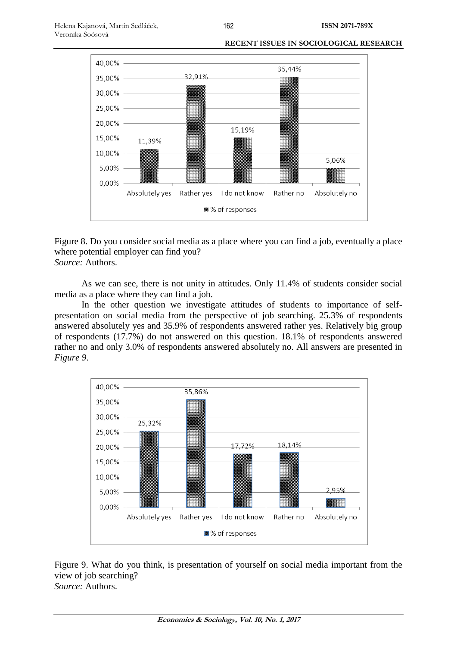

Figure 8. Do you consider social media as a place where you can find a job, eventually a place where potential employer can find you? *Source:* Authors.

As we can see, there is not unity in attitudes. Only 11.4% of students consider social media as a place where they can find a job.

In the other question we investigate attitudes of students to importance of selfpresentation on social media from the perspective of job searching. 25.3% of respondents answered absolutely yes and 35.9% of respondents answered rather yes. Relatively big group of respondents (17.7%) do not answered on this question. 18.1% of respondents answered rather no and only 3.0% of respondents answered absolutely no. All answers are presented in *Figure 9*.



Figure 9. What do you think, is presentation of yourself on social media important from the view of job searching? *Source:* Authors.

162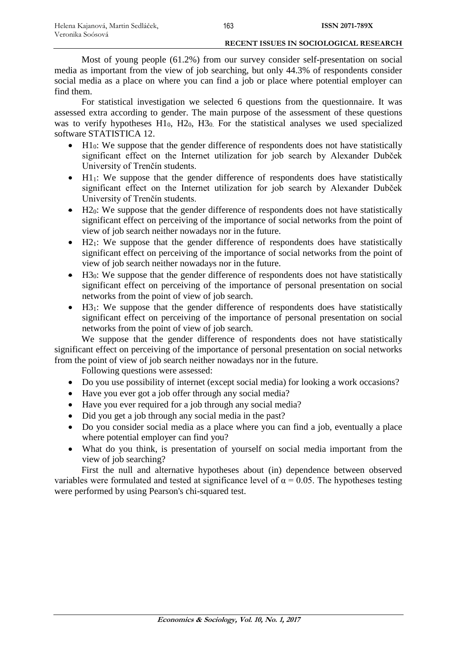Most of young people (61.2%) from our survey consider self-presentation on social media as important from the view of job searching, but only 44.3% of respondents consider social media as a place on where you can find a job or place where potential employer can find them.

For statistical investigation we selected 6 questions from the questionnaire. It was assessed extra according to gender. The main purpose of the assessment of these questions was to verify hypotheses  $H1_0$ ,  $H2_0$ ,  $H3_0$ . For the statistical analyses we used specialized software STATISTICA 12.

- H10: We suppose that the gender difference of respondents does not have statistically significant effect on the Internet utilization for job search by Alexander Dubček University of Trenčín students.
- $\bullet$  H1<sub>1</sub>: We suppose that the gender difference of respondents does have statistically significant effect on the Internet utilization for job search by Alexander Dubček University of Trenčín students.
- $\bullet$  H2<sub>0</sub>: We suppose that the gender difference of respondents does not have statistically significant effect on perceiving of the importance of social networks from the point of view of job search neither nowadays nor in the future.
- $\bullet$  H2<sub>1</sub>: We suppose that the gender difference of respondents does have statistically significant effect on perceiving of the importance of social networks from the point of view of job search neither nowadays nor in the future.
- $\bullet$  H<sub>30</sub>: We suppose that the gender difference of respondents does not have statistically significant effect on perceiving of the importance of personal presentation on social networks from the point of view of job search.
- $\bullet$  H3<sub>1</sub>: We suppose that the gender difference of respondents does have statistically significant effect on perceiving of the importance of personal presentation on social networks from the point of view of job search.

We suppose that the gender difference of respondents does not have statistically significant effect on perceiving of the importance of personal presentation on social networks from the point of view of job search neither nowadays nor in the future.

Following questions were assessed:

- Do you use possibility of internet (except social media) for looking a work occasions?
- Have you ever got a job offer through any social media?
- Have you ever required for a job through any social media?
- Did you get a job through any social media in the past?
- Do you consider social media as a place where you can find a job, eventually a place where potential employer can find you?
- What do you think, is presentation of yourself on social media important from the view of job searching?

First the null and alternative hypotheses about (in) dependence between observed variables were formulated and tested at significance level of  $\alpha = 0.05$ . The hypotheses testing were performed by using Pearson's chi-squared test.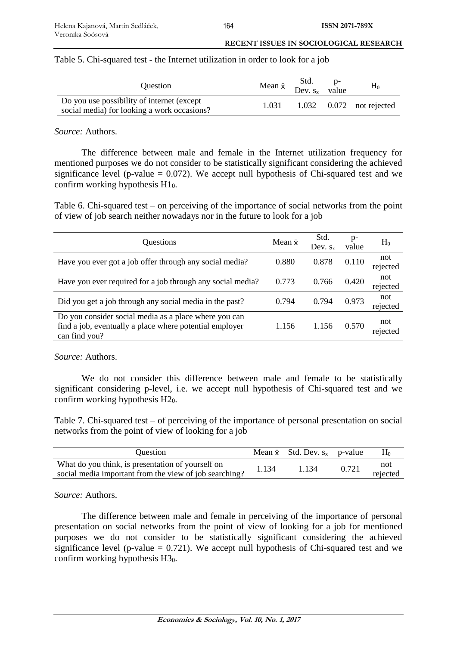# Table 5. Chi-squared test - the Internet utilization in order to look for a job

| <b>Ouestion</b>                                                                            |       | Mean $\bar{x}$ Std. p-<br>Dev. $s_x$ value | $H_0$                      |
|--------------------------------------------------------------------------------------------|-------|--------------------------------------------|----------------------------|
| Do you use possibility of internet (except)<br>social media) for looking a work occasions? | 1.031 |                                            | $1.032$ 0.072 not rejected |

# *Source:* Authors.

The difference between male and female in the Internet utilization frequency for mentioned purposes we do not consider to be statistically significant considering the achieved significance level (p-value  $= 0.072$ ). We accept null hypothesis of Chi-squared test and we confirm working hypothesis H10.

Table 6. Chi-squared test – on perceiving of the importance of social networks from the point of view of job search neither nowadays nor in the future to look for a job

| Questions                                                                                                                         | Mean $\bar{x}$ | Std.<br>Dev. $s_x$ | p-<br>value | $H_0$           |
|-----------------------------------------------------------------------------------------------------------------------------------|----------------|--------------------|-------------|-----------------|
| Have you ever got a job offer through any social media?                                                                           | 0.880          | 0.878              | 0.110       | not<br>rejected |
| Have you ever required for a job through any social media?                                                                        | 0.773          | 0.766              | 0.420       | not<br>rejected |
| Did you get a job through any social media in the past?                                                                           | 0.794          | 0.794              | 0.973       | not<br>rejected |
| Do you consider social media as a place where you can<br>find a job, eventually a place where potential employer<br>can find you? | 1.156          | 1.156              | 0.570       | not<br>rejected |

*Source:* Authors.

We do not consider this difference between male and female to be statistically significant considering p-level, i.e. we accept null hypothesis of Chi-squared test and we confirm working hypothesis H20.

Table 7. Chi-squared test – of perceiving of the importance of personal presentation on social networks from the point of view of looking for a job

| <b>Ouestion</b>                                                                                             |       | Mean $\bar{x}$ Std. Dev. $s_x$ p-value |       | $H_0$           |
|-------------------------------------------------------------------------------------------------------------|-------|----------------------------------------|-------|-----------------|
| What do you think, is presentation of yourself on<br>social media important from the view of job searching? | 1.134 | 1.134                                  | 0.721 | not<br>rejected |

# *Source:* Authors.

The difference between male and female in perceiving of the importance of personal presentation on social networks from the point of view of looking for a job for mentioned purposes we do not consider to be statistically significant considering the achieved significance level (p-value  $= 0.721$ ). We accept null hypothesis of Chi-squared test and we confirm working hypothesis  $H3<sub>0</sub>$ .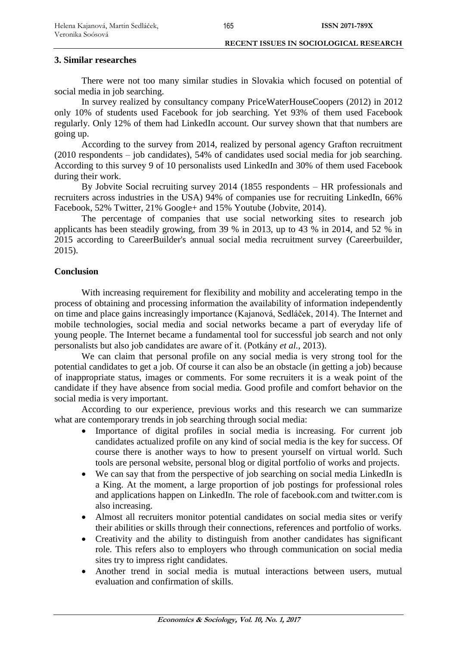# **3. Similar researches**

There were not too many similar studies in Slovakia which focused on potential of social media in job searching.

In survey realized by consultancy company PriceWaterHouseCoopers (2012) in 2012 only 10% of students used Facebook for job searching. Yet 93% of them used Facebook regularly. Only 12% of them had LinkedIn account. Our survey shown that that numbers are going up.

According to the survey from 2014, realized by personal agency Grafton recruitment (2010 respondents – job candidates), 54% of candidates used social media for job searching. According to this survey 9 of 10 personalists used LinkedIn and 30% of them used Facebook during their work.

By Jobvite Social recruiting survey 2014 (1855 respondents – HR professionals and recruiters across industries in the USA) 94% of companies use for recruiting LinkedIn, 66% Facebook, 52% Twitter, 21% Google+ and 15% Youtube (Jobvite, 2014).

The percentage of companies that use social networking sites to research job applicants has been steadily growing, from 39 % in 2013, up to 43 % in 2014, and 52 % in 2015 according to CareerBuilder's annual social media recruitment survey (Careerbuilder, 2015).

# **Conclusion**

With increasing requirement for flexibility and mobility and accelerating tempo in the process of obtaining and processing information the availability of information independently on time and place gains increasingly importance (Kajanová, Sedláček, 2014). The Internet and mobile technologies, social media and social networks became a part of everyday life of young people. The Internet became a fundamental tool for successful job search and not only personalists but also job candidates are aware of it. (Potkány *et al.*, 2013).

We can claim that personal profile on any social media is very strong tool for the potential candidates to get a job. Of course it can also be an obstacle (in getting a job) because of inappropriate status, images or comments. For some recruiters it is a weak point of the candidate if they have absence from social media. Good profile and comfort behavior on the social media is very important.

According to our experience, previous works and this research we can summarize what are contemporary trends in job searching through social media:

- Importance of digital profiles in social media is increasing. For current job candidates actualized profile on any kind of social media is the key for success. Of course there is another ways to how to present yourself on virtual world. Such tools are personal website, personal blog or digital portfolio of works and projects.
- We can say that from the perspective of job searching on social media LinkedIn is a King. At the moment, a large proportion of job postings for professional roles and applications happen on LinkedIn. The role of facebook.com and twitter.com is also increasing.
- Almost all recruiters monitor potential candidates on social media sites or verify their abilities or skills through their connections, references and portfolio of works.
- Creativity and the ability to distinguish from another candidates has significant role. This refers also to employers who through communication on social media sites try to impress right candidates.
- Another trend in social media is mutual interactions between users, mutual evaluation and confirmation of skills.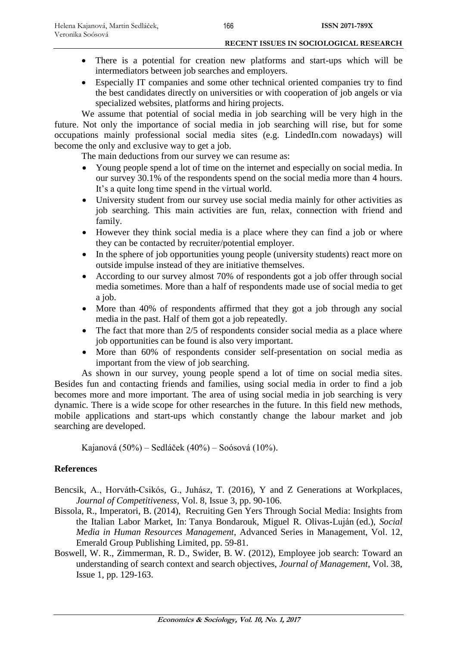- There is a potential for creation new platforms and start-ups which will be intermediators between job searches and employers.
- Especially IT companies and some other technical oriented companies try to find the best candidates directly on universities or with cooperation of job angels or via specialized websites, platforms and hiring projects.

We assume that potential of social media in job searching will be very high in the future. Not only the importance of social media in job searching will rise, but for some occupations mainly professional social media sites (e.g. LindedIn.com nowadays) will become the only and exclusive way to get a job.

The main deductions from our survey we can resume as:

- Young people spend a lot of time on the internet and especially on social media. In our survey 30.1% of the respondents spend on the social media more than 4 hours. It's a quite long time spend in the virtual world.
- University student from our survey use social media mainly for other activities as job searching. This main activities are fun, relax, connection with friend and family.
- However they think social media is a place where they can find a job or where they can be contacted by recruiter/potential employer.
- In the sphere of job opportunities young people (university students) react more on outside impulse instead of they are initiative themselves.
- According to our survey almost 70% of respondents got a job offer through social media sometimes. More than a half of respondents made use of social media to get a job.
- More than 40% of respondents affirmed that they got a job through any social media in the past. Half of them got a job repeatedly.
- The fact that more than 2/5 of respondents consider social media as a place where job opportunities can be found is also very important.
- More than 60% of respondents consider self-presentation on social media as important from the view of job searching.

As shown in our survey, young people spend a lot of time on social media sites. Besides fun and contacting friends and families, using social media in order to find a job becomes more and more important. The area of using social media in job searching is very dynamic. There is a wide scope for other researches in the future. In this field new methods, mobile applications and start-ups which constantly change the labour market and job searching are developed.

Kajanová (50%) – Sedláček (40%) – Soósová (10%).

# **References**

- Bencsik, A., Horváth-Csikós, G., Juhász, T. (2016), Y and Z Generations at Workplaces, *Journal of Competitiveness*, Vol. 8, Issue 3, pp. 90-106.
- Bissola, R., [Imperatori, B.](http://www.emeraldinsight.com/author/Imperatori%2C+Barbara) (2014), Recruiting Gen Yers Through Social Media: Insights from the Italian Labor Market, In: Tanya Bondarouk, Miguel R. Olivas-Luján (ed.), *Social Media in Human Resources Management*, Advanced Series in Management, Vol. 12, Emerald Group Publishing Limited, pp. 59-81.
- Boswell, W. R., Zimmerman, R. D., Swider, B. W. (2012), Employee job search: Toward an understanding of search context and search objectives, *Journal of Management*, Vol. 38, Issue 1, pp. 129-163.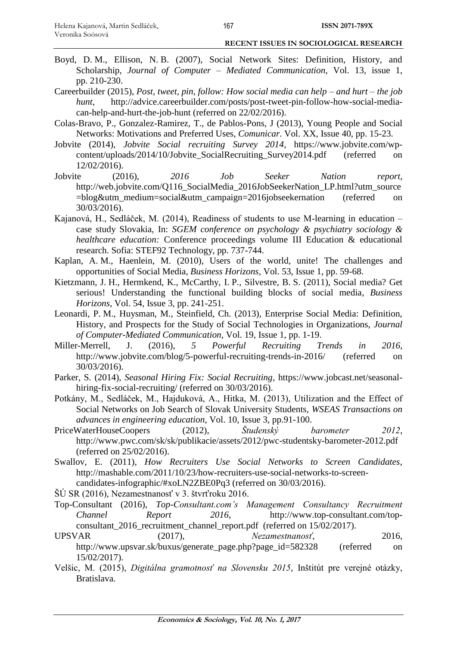- Boyd, D. M., Ellison, N. B. (2007), Social Network Sites: Definition, History, and Scholarship, *Journal of Computer – Mediated Communication*, Vol. 13, issue 1, pp. 210-230.
- Careerbuilder (2015), *Post, tweet, pin, follow: How social media can help – and hurt – the job hunt*, [http://advice.careerbuilder.com/posts/post-tweet-pin-follow-how-social-media](http://advice.careerbuilder.com/posts/post-tweet-pin-follow-how-social-media-can-help-and-hurt-the-job-hunt)[can-help-and-hurt-the-job-hunt](http://advice.careerbuilder.com/posts/post-tweet-pin-follow-how-social-media-can-help-and-hurt-the-job-hunt) (referred on 22/02/2016).
- Colas-Bravo, P., Gonzalez-Ramirez, T., de Pablos-Pons, J (2013), Young People and Social Networks: Motivations and Preferred Uses, *Comunicar*. Vol. XX, Issue 40, pp. 15-23.
- Jobvite (2014), *Jobvite Social recruiting Survey 2014*, [https://www.jobvite.com/wp](https://www.jobvite.com/wp-content/uploads/2014/10/Jobvite_SocialRecruiting_Survey2014.pdf)content/uploads/2014/10/Jobvite SocialRecruiting Survey2014.pdf (referred on 12/02/2016).
- Jobvite (2016), *2016 Job Seeker Nation report*, [http://web.jobvite.com/Q116\\_SocialMedia\\_2016JobSeekerNation\\_LP.html?utm\\_source](http://web.jobvite.com/Q116_SocialMedia_2016JobSeekerNation_LP.html?utm_source=blog&utm_medium=social&utm_campaign=2016jobseekernation) [=blog&utm\\_medium=social&utm\\_campaign=2016jobseekernation](http://web.jobvite.com/Q116_SocialMedia_2016JobSeekerNation_LP.html?utm_source=blog&utm_medium=social&utm_campaign=2016jobseekernation) (referred on 30/03/2016).
- Kajanová, H., Sedláček, M. (2014), Readiness of students to use M-learning in education case study Slovakia, In: *SGEM conference on psychology & psychiatry sociology & healthcare education:* Conference proceedings volume III Education & educational research. Sofia: STEF92 Technology, pp. 737-744.
- Kaplan, A. M., Haenlein, M. (2010), Users of the world, unite! The challenges and opportunities of Social Media, *Business Horizons*, Vol. 53, Issue 1, pp. 59-68.
- Kietzmann, J. H., Hermkend, K., McCarthy, I. P., Silvestre, B. S. (2011), Social media? Get serious! Understanding the functional building blocks of social media, *Business Horizons*, Vol. 54, Issue 3, pp. 241-251.
- Leonardi, P. M., Huysman, M., Steinfield, Ch. (2013), Enterprise Social Media: Definition, History, and Prospects for the Study of Social Technologies in Organizations, *Journal of Computer-Mediated Communication*, Vol. 19, Issue 1, pp. 1-19.
- Miller-Merrell, J. (2016), *5 Powerful Recruiting Trends in 2016*, http://www.jobvite.com/blog/5-powerful-recruiting-trends-in-2016/ (referred on 30/03/2016).
- Parker, S. (2014), *Seasonal Hiring Fix: Social Recruiting*, https://www.jobcast.net/seasonalhiring-fix-social-recruiting/ (referred on 30/03/2016).
- Potkány, M., Sedláček, M., Hajduková, A., Hitka, M. (2013), Utilization and the Effect of Social Networks on Job Search of Slovak University Students, *WSEAS Transactions on advances in engineering education*, Vol. 10, Issue 3, pp.91-100.
- PriceWaterHouseCoopers (2012), *Študenský barometer 2012*, http://www.pwc.com/sk/sk/publikacie/assets/2012/pwc-studentsky-barometer-2012.pdf (referred on 25/02/2016).
- Swallov, E. (2011), *How Recruiters Use Social Networks to Screen Candidates*, [http://mashable.com/2011/10/23/how-recruiters-use-social-networks-to-screen](http://mashable.com/2011/10/23/how-recruiters-use-social-networks-to-screen-candidates-infographic/#xoLN2ZBE0Pq3)[candidates-infographic/#xoLN2ZBE0Pq3](http://mashable.com/2011/10/23/how-recruiters-use-social-networks-to-screen-candidates-infographic/#xoLN2ZBE0Pq3) (referred on 30/03/2016).

ŠÚ SR (2016), Nezamestnanosť v 3. štvrťroku 2016.

- Top-Consultant (2016), *Top-Consultant.com's Management Consultancy Recruitment Channel Report 2016*, http://www.top-consultant.com/topconsultant\_2016\_recruitment\_channel\_report.pdf (referred on 15/02/2017).
- UPSVAR (2017), *Nezamestnanosť*, 2016, [http://www.upsvar.sk/buxus/generate\\_page.php?page\\_id=582328](http://www.upsvar.sk/buxus/generate_page.php?page_id=582328) (referred on 15/02/2017).
- Velšic, M. (2015), *Digitálna gramotnosť na Slovensku 2015*, Inštitút pre verejné otázky, Bratislava.